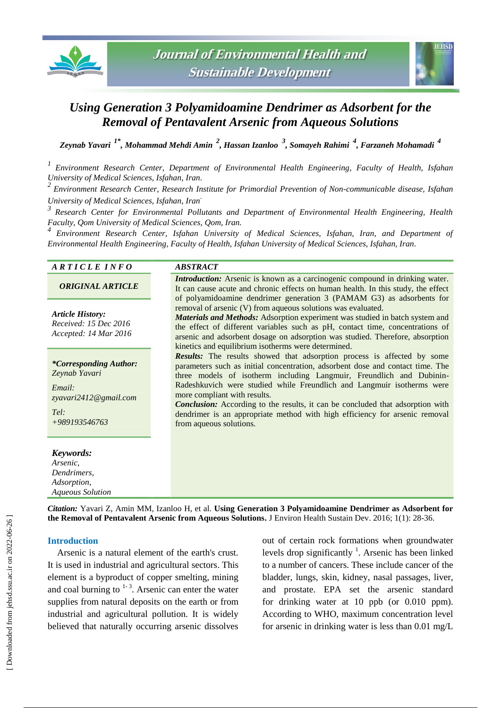



# *Using Generation 3 Polyamidoamine Dendrimer as Adsorbent for the Removal of Pentavalent Arsenic from Aqueous Solutions*

*Zeynab Yavari 1\*, Mohammad Mehdi Amin <sup>2</sup> , Hassan Izanloo <sup>3</sup> , Somayeh Rahimi <sup>4</sup> , Farzaneh Mohamadi <sup>4</sup>*

*1 Environment Research Center, Department of Environmental Health Engineering, Faculty of Health, Isfahan University of Medical Sciences, Isfahan, Iran.*

*2 Environment Research Center, Research Institute for Primordial Prevention of Non-communicable disease, Isfahan University of Medical Sciences, Isfahan, Iran.*

*3 Research Center for Environmental Pollutants and Department of Environmental Health Engineering, Health Faculty, Qom University of Medical Sciences, Qom, Iran.*

*4 Environment Research Center, Isfahan University of Medical Sciences, Isfahan, Iran, and Department of Environmental Health Engineering, Faculty of Health, Isfahan University of Medical Sciences, Isfahan, Iran.*

# *A R T I C L E I N F O ABSTRACT*

*ORIGINAL ARTICLE*

*Article History: Received: 15 Dec 2016 Accepted: 14 Mar 2016*

*\*Corresponding Author: Zeynab Yavari*

*Email: zyavari2412@gmail.com*

*Tel: +989193546763*

#### *Keywords:*

*Arsenic, Dendrimers, Adsorption, Aqueous Solution* **Introduction:** Arsenic is known as a carcinogenic compound in drinking water. It can cause acute and chronic effects on human health. In this study, the effect of polyamidoamine dendrimer generation 3 (PAMAM G3) as adsorbents for removal of arsenic (V) from aqueous solutions was evaluated.

*Materials and Methods:* Adsorption experiment was studied in batch system and the effect of different variables such as pH, contact time, concentrations of arsenic and adsorbent dosage on adsorption was studied. Therefore, absorption kinetics and equilibrium isotherms were determined.

*Results:* The results showed that adsorption process is affected by some parameters such as initial concentration, adsorbent dose and contact time. The three models of isotherm including Langmuir, Freundlich and Dubinin-Radeshkuvich were studied while Freundlich and Langmuir isotherms were more compliant with results.

*Conclusion:* According to the results, it can be concluded that adsorption with dendrimer is an appropriate method with high efficiency for arsenic removal from aqueous solutions.

*Citation:* Yavari Z, Amin MM, Izanloo H, et al. **Using Generation 3 Polyamidoamine Dendrimer as Adsorbent for the Removal of Pentavalent Arsenic from Aqueous Solutions.** J Environ Health Sustain Dev. 2016; 1(1): 28-36.

### **Introduction**

Arsenic is a natural element of the earth's crust. It is used in industrial and agricultural sectors. This element is a byproduct of copper smelting, mining and coal burning to  $1-3$ . Arsenic can enter the water supplies from natural deposits on the earth or from industrial and agricultural pollution. It is widely believed that naturally occurring arsenic dissolves

out of certain rock formations when groundwater levels drop significantly  $\frac{1}{1}$ . Arsenic has been linked to a number of cancers. These include cancer of the bladder, lungs, skin, kidney, nasal passages, liver, and prostate. EPA set the arsenic standard for drinking water at 10 ppb (or 0.010 ppm). According to WHO, maximum concentration level for arsenic in drinking water is less than 0.01 mg/L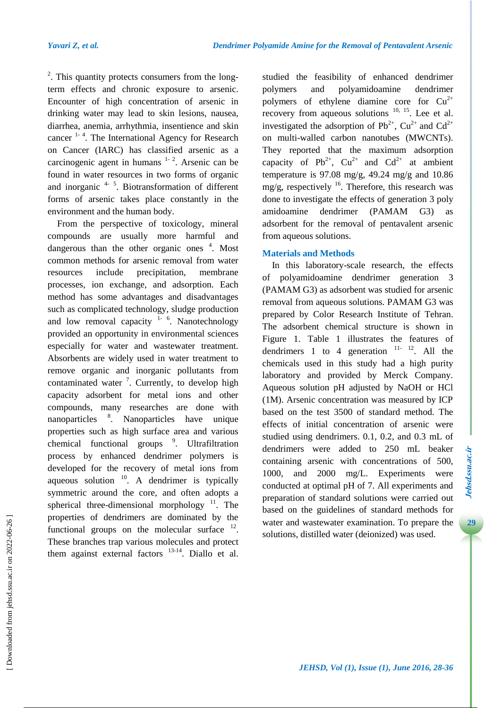<sup>2</sup>. This quantity protects consumers from the longterm effects and chronic exposure to arsenic. Encounter of high concentration of arsenic in drinking water may lead to skin lesions, nausea, diarrhea, anemia, arrhythmia, insentience and skin cancer <sup>1-4</sup>. The International Agency for Research on Cancer (IARC) has classified arsenic as a carcinogenic agent in humans  $1 - 2$ . Arsenic can be found in water resources in two forms of organic and inorganic  $4\frac{1}{2}$ . Biotransformation of different forms of arsenic takes place constantly in the environment and the human body.

From the perspective of toxicology, mineral compounds are usually more harmful and dangerous than the other organic ones <sup>4</sup>. Most common methods for arsenic removal from water resources include precipitation, membrane processes, ion exchange, and adsorption. Each method has some advantages and disadvantages such as complicated technology, sludge production and low removal capacity  $1 - 6$ . Nanotechnology provided an opportunity in environmental sciences especially for water and wastewater treatment. Absorbents are widely used in water treatment to remove organic and inorganic pollutants from contaminated water  $\frac{7}{1}$ . Currently, to develop high capacity adsorbent for metal ions and other compounds, many researches are done with nanoparticles <sup>8</sup>. Nanoparticles have unique properties such as high surface area and various chemical functional groups <sup>9</sup>. Ultrafiltration process by enhanced dendrimer polymers is developed for the recovery of metal ions from aqueous solution  $10$ . A dendrimer is typically symmetric around the core, and often adopts a spherical three-dimensional morphology  $11$ . The properties of dendrimers are dominated by the functional groups on the molecular surface  $12$ . These branches trap various molecules and protect them against external factors  $13-14$ . Diallo et al.

studied the feasibility of enhanced dendrimer polymers and polyamidoamine dendrimer polymers of ethylene diamine core for  $Cu^{2+}$ recovery from aqueous solutions  $10$ ,  $15$ . Lee et al. investigated the adsorption of  $Pb^{2+}$ ,  $Cu^{2+}$  and  $Cd^{2+}$ on multi-walled carbon nanotubes (MWCNTs). They reported that the maximum adsorption capacity of Pb<sup>2+</sup>,  $Cu^{2+}$  and  $Cd^{2+}$  at ambient temperature is  $97.08 \text{ mg/g}$ ,  $49.24 \text{ mg/g}$  and  $10.86$ mg/g, respectively  $16$ . Therefore, this research was done to investigate the effects of generation 3 poly amidoamine dendrimer (PAMAM G3) as adsorbent for the removal of pentavalent arsenic from aqueous solutions.

# **Materials and Methods**

In this laboratory-scale research, the effects of polyamidoamine dendrimer generation 3 (PAMAM G3) as adsorbent was studied for arsenic removal from aqueous solutions. PAMAM G3 was prepared by Color Research Institute of Tehran. The adsorbent chemical structure is shown in Figure 1. Table 1 illustrates the features of dendrimers 1 to 4 generation  $11 - 12$ . All the chemicals used in this study had a high purity laboratory and provided by Merck Company. Aqueous solution pH adjusted by NaOH or HCl (1M). Arsenic concentration was measured by ICP based on the test 3500 of standard method. The effects of initial concentration of arsenic were studied using dendrimers. 0.1, 0.2, and 0.3 mL of dendrimers were added to 250 mL beaker containing arsenic with concentrations of 500, 1000, and 2000 mg/L. Experiments were conducted at optimal pH of 7. All experiments and preparation of standard solutions were carried out based on the guidelines of standard methods for water and wastewater examination. To prepare the solutions, distilled water (deionized) was used.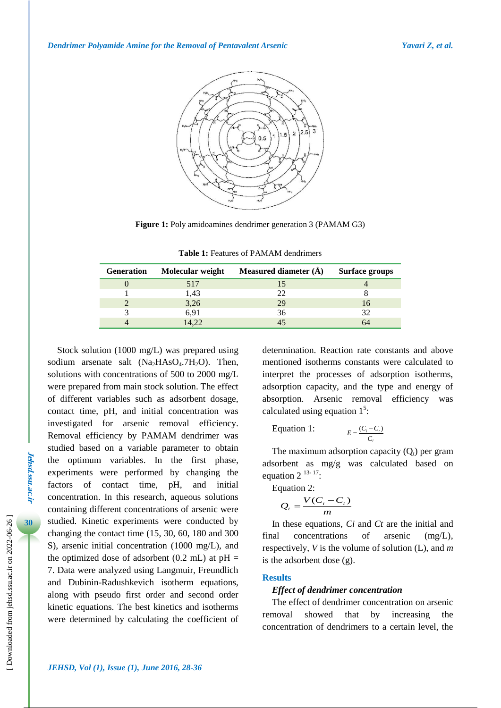

**Figure 1:** Poly amidoamines dendrimer generation 3 (PAMAM G3)

| <b>Generation</b> | Molecular weight | Measured diameter $(\AA)$ | <b>Surface groups</b> |
|-------------------|------------------|---------------------------|-----------------------|
|                   | 517              |                           |                       |
|                   | 1,43             | つつ                        |                       |
|                   | 3,26             | 29                        | Iб                    |
|                   | 6.91             | 36                        | 32                    |
|                   | 4.22             |                           |                       |

**Table 1:** Features of PAMAM dendrimers

Stock solution (1000 mg/L) was prepared using sodium arsenate salt  $(Na<sub>2</sub>HAsO<sub>4</sub>.7H<sub>2</sub>O)$ . Then, solutions with concentrations of 500 to 2000 mg/L were prepared from main stock solution. The effect of different variables such as adsorbent dosage, contact time, pH, and initial concentration was investigated for arsenic removal efficiency. Removal efficiency by PAMAM dendrimer was studied based on a variable parameter to obtain the optimum variables. In the first phase, experiments were performed by changing the factors of contact time, pH, and initial concentration. In this research, aqueous solutions containing different concentrations of arsenic were studied. Kinetic experiments were conducted by changing the contact time (15, 30, 60, 180 and 300 S), arsenic initial concentration (1000 mg/L), and the optimized dose of adsorbent  $(0.2 \text{ mL})$  at  $pH =$ 7. Data were analyzed using Langmuir, Freundlich and Dubinin-Radushkevich isotherm equations, along with pseudo first order and second order kinetic equations. The best kinetics and isotherms were determined by calculating the coefficient of determination. Reaction rate constants and above mentioned isotherms constants were calculated to interpret the processes of adsorption isotherms, adsorption capacity, and the type and energy of absorption. Arsenic removal efficiency was calculated using equation  $1<sup>5</sup>$ :

Equation 1: 
$$
E = \frac{(C_i - C_t)}{C_i}
$$

The maximum adsorption capacity  $(Q_t)$  per gram adsorbent as mg/g was calculated based on equation  $2^{13-17}$ :

Equation 2:

$$
Q_t = \frac{V(C_i - C_t)}{m}
$$

In these equations, *Ci* and *Ct* are the initial and final concentrations of arsenic (mg/L), respectively, *V* is the volume of solution (L), and *m* is the adsorbent dose (g).

#### **Results**

#### *Effect of dendrimer concentration*

The effect of dendrimer concentration on arsenic removal showed that by increasing the concentration of dendrimers to a certain level, the

**Jehsd.ssu.ac.ir**

**Jehsd.Su.ac.n**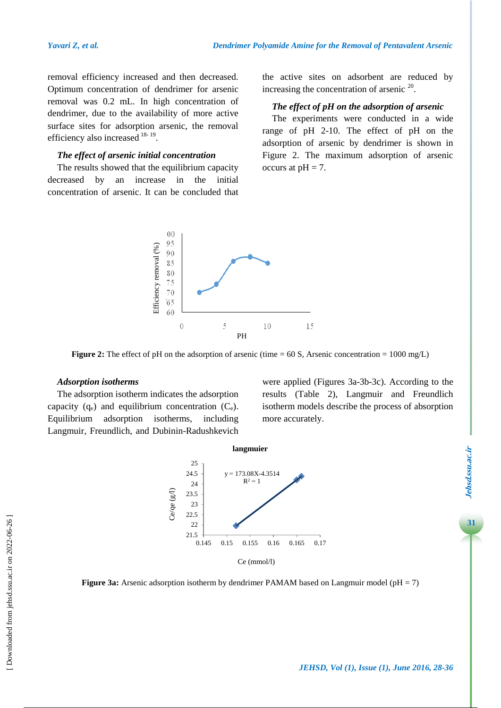removal efficiency increased and then decreased. Optimum concentration of dendrimer for arsenic removal was 0.2 mL. In high concentration of dendrimer, due to the availability of more active surface sites for adsorption arsenic, the removal efficiency also increased  $18-19$ .

#### *The effect of arsenic initial concentration*

The results showed that the equilibrium capacity decreased by an increase in the initial concentration of arsenic. It can be concluded that the active sites on adsorbent are reduced by increasing the concentration of arsenic  $20$ .

## *The effect of pH on the adsorption of arsenic*

The experiments were conducted in a wide range of pH 2-10. The effect of pH on the adsorption of arsenic by dendrimer is shown in Figure 2. The maximum adsorption of arsenic occurs at  $pH = 7$ .



**Figure 2:** The effect of pH on the adsorption of arsenic (time  $= 60$  S, Arsenic concentration  $= 1000$  mg/L)

#### *Adsorption isotherms*

The adsorption isotherm indicates the adsorption capacity  $(q_e)$  and equilibrium concentration  $(C_e)$ . Equilibrium adsorption isotherms, including Langmuir, Freundlich, and Dubinin-Radushkevich were applied (Figures 3a-3b-3c). According to the results (Table 2), Langmuir and Freundlich isotherm models describe the process of absorption more accurately.





**Figure 3a:** Arsenic adsorption isotherm by dendrimer PAMAM based on Langmuir model (pH = 7)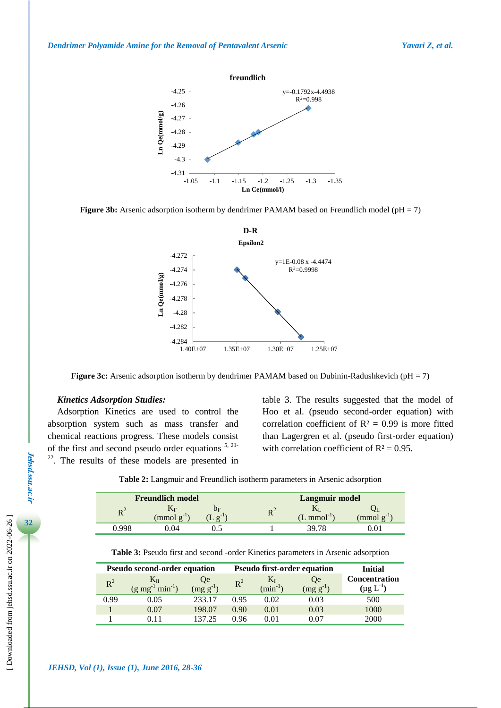





**Figure 3c:** Arsenic adsorption isotherm by dendrimer PAMAM based on Dubinin-Radushkevich (pH = 7)

#### *Kinetics Adsorption Studies:*

Adsorption Kinetics are used to control the absorption system such as mass transfer and chemical reactions progress. These models consist of the first and second pseudo order equations 5, 21-  $22$ . The results of these models are presented in table 3. The results suggested that the model of Hoo et al. (pseudo second-order equation) with correlation coefficient of  $R^2 = 0.99$  is more fitted than Lagergren et al. (pseudo first-order equation) with correlation coefficient of  $R^2 = 0.95$ .

| Table 2: Langmuir and Freundlich isotherm parameters in Arsenic adsorption |  |  |  |
|----------------------------------------------------------------------------|--|--|--|
|----------------------------------------------------------------------------|--|--|--|

| <b>Freundlich model</b>         |                 |                         |                      | <b>Langmuir model</b>                     |            |  |
|---------------------------------|-----------------|-------------------------|----------------------|-------------------------------------------|------------|--|
| $\mathbf{D}^{\mathcal{L}}$<br>n | $\pmod{g^{-1}}$ | $v_{\rm F}$<br>$\sigma$ | $\mathbf{D}^{\perp}$ | $\sim$ mmol <sup>-<math>\sim</math></sup> | $\pmod{g}$ |  |
| -QQ                             | $^{(14)}$       |                         |                      |                                           |            |  |

**Table 3:** Pseudo first and second -order Kinetics parameters in Arsenic adsorption

| <b>Pseudo second-order equation</b> |                                       |                            | <b>Pseudo first-order equation</b> |                           |                                  | Initial                                |
|-------------------------------------|---------------------------------------|----------------------------|------------------------------------|---------------------------|----------------------------------|----------------------------------------|
| $R^2$                               | $min^{-1}$ )<br>$(g \text{ mg}^{-1})$ | <b>Oe</b><br>$(mg g^{-1})$ | $R^2$                              | 17 l<br>$\text{min}^{-1}$ | <b>O</b> e<br>$\text{mg g}^{-1}$ | <b>Concentration</b><br>$(\mu g\ L^1)$ |
| 0.99                                | 0.05                                  | 233.17                     | 0.95                               | 0.02                      | 0.03                             | 500                                    |
|                                     | 0.07                                  | 198.07                     | 0.90                               | 0.01                      | 0.03                             | 1000                                   |
|                                     |                                       | 137.25                     | 0.96                               | 0.01                      | 0.07                             | 2000                                   |

**Jehsd.ssu.ac.ir**

**Jehsd.ssu.ac.ir**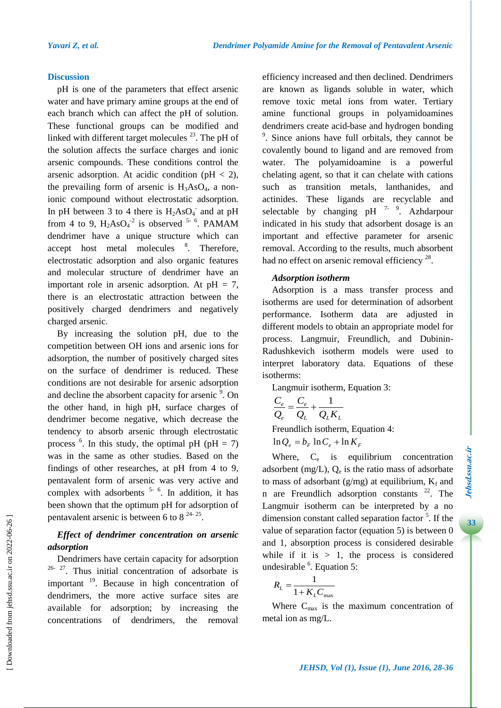#### **Discussion**

pH is one of the parameters that effect arsenic water and have primary amine groups at the end of each branch which can affect the pH of solution. These functional groups can be modified and linked with different target molecules  $^{23}$ . The pH of the solution affects the surface charges and ionic arsenic compounds. These conditions control the arsenic adsorption. At acidic condition ( $pH < 2$ ), the prevailing form of arsenic is  $H_3AsO_4$ , a nonionic compound without electrostatic adsorption. In pH between 3 to 4 there is  $H_2AsO<sub>4</sub>$  and at pH from 4 to 9,  $H_2AsO<sub>4</sub><sup>-2</sup>$  is observed <sup>5-6</sup>. PAMAM dendrimer have a unique structure which can accept host metal molecules <sup>8</sup>. Therefore, electrostatic adsorption and also organic features and molecular structure of dendrimer have an important role in arsenic adsorption. At  $pH = 7$ , there is an electrostatic attraction between the positively charged dendrimers and negatively charged arsenic.

By increasing the solution pH, due to the competition between OH ions and arsenic ions for adsorption, the number of positively charged sites on the surface of dendrimer is reduced. These conditions are not desirable for arsenic adsorption and decline the absorbent capacity for arsenic <sup>9</sup>. On the other hand, in high pH, surface charges of dendrimer become negative, which decrease the tendency to absorb arsenic through electrostatic process  $\delta$ . In this study, the optimal pH (pH = 7) was in the same as other studies. Based on the findings of other researches, at pH from 4 to 9, pentavalent form of arsenic was very active and complex with adsorbents  $5-6$ . In addition, it has been shown that the optimum pH for adsorption of pentavalent arsenic is between 6 to 8  $^{24-25}$ .

# *Effect of dendrimer concentration on arsenic adsorption*

Dendrimers have certain capacity for adsorption  $26-27$ . Thus initial concentration of adsorbate is important <sup>19</sup>. Because in high concentration of dendrimers, the more active surface sites are available for adsorption; by increasing the concentrations of dendrimers, the removal

efficiency increased and then declined. Dendrimers are known as ligands soluble in water, which remove toxic metal ions from water. Tertiary amine functional groups in polyamidoamines dendrimers create acid-base and hydrogen bonding 9 . Since anions have full orbitals, they cannot be covalently bound to ligand and are removed from water. The polyamidoamine is a powerful chelating agent, so that it can chelate with cations such as transition metals, lanthanides, and actinides. These ligands are recyclable and selectable by changing  $pH$ <sup>7-9</sup>. Azhdarpour indicated in his study that adsorbent dosage is an important and effective parameter for arsenic removal. According to the results, much absorbent had no effect on arsenic removal efficiency  $28$ .

# *Adsorption isotherm*

Adsorption is a mass transfer process and isotherms are used for determination of adsorbent performance. Isotherm data are adjusted in different models to obtain an appropriate model for process. Langmuir, Freundlich, and Dubinin-Radushkevich isotherm models were used to interpret laboratory data. Equations of these isotherms:

Langmuir isotherm, Equation 3:

$$
\frac{C_e}{Q_e} = \frac{C_e}{Q_L} + \frac{1}{Q_L K_L}
$$

Freundlich isotherm, Equation 4:

$$
\ln Q_e = b_F \ln C_e + \ln K_F
$$

Where, C<sub>e</sub> is equilibrium concentration adsorbent  $(mg/L)$ ,  $Q_e$  is the ratio mass of adsorbate to mass of adsorbant (g/mg) at equilibrium,  $K_f$  and n are Freundlich adsorption constants  $22$ . The Langmuir isotherm can be interpreted by a no dimension constant called separation factor<sup>5</sup>. If the value of separation factor (equation 5) is between 0 and 1, absorption process is considered desirable while if it is  $> 1$ , the process is considered undesirable <sup>6</sup>. Equation 5:

$$
R_L = \frac{1}{1 + K_L C_{\text{max}}}
$$

Where  $C_{\text{max}}$  is the maximum concentration of metal ion as mg/L.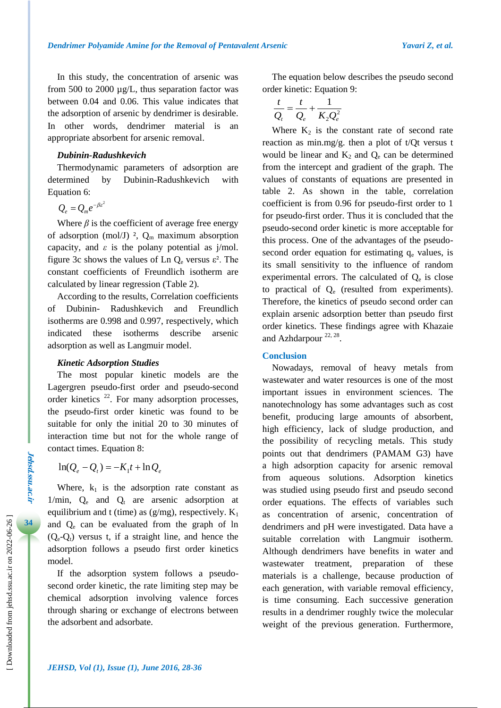In this study, the concentration of arsenic was from 500 to 2000 µg/L, thus separation factor was between 0.04 and 0.06. This value indicates that the adsorption of arsenic by dendrimer is desirable. In other words, dendrimer material is an appropriate absorbent for arsenic removal.

#### *Dubinin-Radushkevich*

Thermodynamic parameters of adsorption are determined by Dubinin-Radushkevich with Equation 6:

 $Q_e = Q_m e^{-\beta \varepsilon^2}$ 

Where  $\beta$  is the coefficient of average free energy of adsorption (mol/J)  $2$ ,  $Q_m$  maximum absorption capacity, and  $\varepsilon$  is the polany potential as  $j/mol$ . figure 3c shows the values of Ln  $Q_e$  versus  $\varepsilon^2$ . The constant coefficients of Freundlich isotherm are calculated by linear regression (Table 2).

According to the results, Correlation coefficients of Dubinin- Radushkevich and Freundlich isotherms are 0.998 and 0.997, respectively, which indicated these isotherms describe arsenic adsorption as well as Langmuir model.

#### *Kinetic Adsorption Studies*

The most popular kinetic models are the Lagergren pseudo-first order and pseudo-second order kinetics  $^{22}$ . For many adsorption processes, the pseudo-first order kinetic was found to be suitable for only the initial 20 to 30 minutes of interaction time but not for the whole range of contact times. Equation 8:

 $\ln(Q_e - Q_t) = -K_1 t + \ln Q_e$ 

Where,  $k_1$  is the adsorption rate constant as  $1/\text{min}$ ,  $Q_e$  and  $Q_t$  are arsenic adsorption at equilibrium and t (time) as  $(g/mg)$ , respectively.  $K_1$ and Q<sup>e</sup> can be evaluated from the graph of ln  $(Q_e-Q_t)$  versus t, if a straight line, and hence the adsorption follows a pseudo first order kinetics model.

If the adsorption system follows a pseudosecond order kinetic, the rate limiting step may be chemical adsorption involving valence forces through sharing or exchange of electrons between the adsorbent and adsorbate.

The equation below describes the pseudo second order kinetic: Equation 9:

$$
\frac{t}{Q_t} = \frac{t}{Q_e} + \frac{1}{K_2 Q_e^2}
$$

Where  $K_2$  is the constant rate of second rate reaction as min.mg/g. then a plot of  $t/Qt$  versus t would be linear and  $K_2$  and  $Q_e$  can be determined from the intercept and gradient of the graph. The values of constants of equations are presented in table 2. As shown in the table, correlation coefficient is from 0.96 for pseudo-first order to 1 for pseudo-first order. Thus it is concluded that the pseudo-second order kinetic is more acceptable for this process. One of the advantages of the pseudosecond order equation for estimating  $q_e$  values, is its small sensitivity to the influence of random experimental errors. The calculated of  $Q_e$  is close to practical of  $Q_e$  (resulted from experiments). Therefore, the kinetics of pseudo second order can explain arsenic adsorption better than pseudo first order kinetics. These findings agree with Khazaie and Azhdarpour<sup>22, 28</sup>.

#### **Conclusion**

Nowadays, removal of heavy metals from wastewater and water resources is one of the most important issues in environment sciences. The nanotechnology has some advantages such as cost benefit, producing large amounts of absorbent, high efficiency, lack of sludge production, and the possibility of recycling metals. This study points out that dendrimers (PAMAM G3) have a high adsorption capacity for arsenic removal from aqueous solutions. Adsorption kinetics was studied using pseudo first and pseudo second order equations. The effects of variables such as concentration of arsenic, concentration of dendrimers and pH were investigated. Data have a suitable correlation with Langmuir isotherm. Although dendrimers have benefits in water and wastewater treatment, preparation of these materials is a challenge, because production of each generation, with variable removal efficiency, is time consuming. Each successive generation results in a dendrimer roughly twice the molecular weight of the previous generation. Furthermore,

**Jehsd.ssu.ac.ir**

*Jehsd.Ssu.ac.n*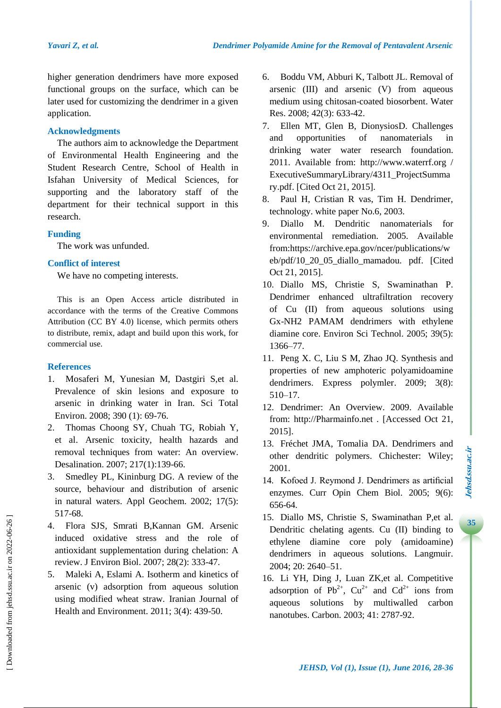higher generation dendrimers have more exposed functional groups on the surface, which can be later used for customizing the dendrimer in a given application.

# **Acknowledgments**

The authors aim to acknowledge the Department of Environmental Health Engineering and the Student Research Centre, School of Health in Isfahan University of Medical Sciences, for supporting and the laboratory staff of the department for their technical support in this research.

# **Funding**

The work was unfunded.

# **Conflict of interest**

We have no competing interests.

This is an Open Access article distributed in accordance with the terms of the Creative Commons Attribution (CC BY 4.0) license, which permits others to distribute, remix, adapt and build upon this work, for commercial use.

# **References**

- 1. Mosaferi M, Yunesian M, Dastgiri S,et al. Prevalence of skin lesions and exposure to arsenic in drinking water in Iran. Sci Total Environ. 2008; 390 (1): 69-76.
- 2. Thomas Choong SY, Chuah TG, Robiah Y, et al. Arsenic toxicity, health hazards and removal techniques from water: An overview. Desalination. 2007; 217(1):139-66.
- 3. Smedley PL, Kininburg DG. A review of the source, behaviour and distribution of arsenic in natural waters. Appl Geochem. 2002; 17(5): 517-68.
- 4. Flora SJS, Smrati B,Kannan GM. Arsenic induced oxidative stress and the role of antioxidant supplementation during chelation: A review. J Environ Biol. 2007; 28(2): 333-47.
- 5. Maleki A, Eslami A. Isotherm and kinetics of arsenic (v) adsorption from aqueous solution using modified wheat straw. Iranian Journal of Health and Environment. 2011; 3(4): 439-50.
- 6. Boddu VM, Abburi K, Talbott JL. Removal of arsenic (III) and arsenic (V) from aqueous medium using chitosan-coated biosorbent. Water Res. 2008; 42(3): 633-42.
- 7. Ellen MT, Glen B, DionysiosD. Challenges and opportunities of nanomaterials in drinking water water research foundation. 2011. Available from: [http://www.waterrf.org](http://www.waterrf.org/) / ExecutiveSummaryLibrary/4311\_ProjectSumma ry.pdf. [Cited Oct 21, 2015].
- 8. Paul H, Cristian R vas, Tim H. Dendrimer, technology. white paper No.6, 2003.
- 9. Diallo M. Dendritic nanomaterials for environmental remediation. 2005. Available from:https://archive.epa.gov/ncer/publications/w eb/pdf/10\_20\_05\_diallo\_mamadou. pdf. [Cited Oct 21, 2015].
- 10. Diallo MS, Christie S, Swaminathan P. Dendrimer enhanced ultrafiltration recovery of Cu (II) from aqueous solutions using Gx-NH2 PAMAM dendrimers with ethylene diamine core. Environ Sci Technol. 2005; 39(5): 1366–77.
- 11. Peng X. C, Liu S M, Zhao JQ. Synthesis and properties of new amphoteric polyamidoamine dendrimers. Express polymler. 2009; 3(8): 510–17.
- 12. Dendrimer: An Overview. 2009. Available from: http://Pharmainfo.net . [Accessed Oct 21, 2015].
- 13. Fréchet JMA, Tomalia DA. Dendrimers and other dendritic polymers. Chichester: Wiley; 2001.
- 14. Kofoed J. Reymond J. Dendrimers as artificial enzymes. Curr Opin Chem Biol. 2005; 9(6): 656-64.
- 15. Diallo MS, Christie S, Swaminathan P,et al. Dendritic chelating agents. Cu (II) binding to ethylene diamine core poly (amidoamine) dendrimers in aqueous solutions. Langmuir. 2004; 20: 2640–51.
- 16. Li YH, Ding J, Luan ZK,et al. Competitive adsorption of Pb<sup>2+</sup>,  $Cu^{2+}$  and  $Cd^{2+}$  ions from aqueous solutions by multiwalled carbon nanotubes. Carbon. 2003; 41: 2787-92.